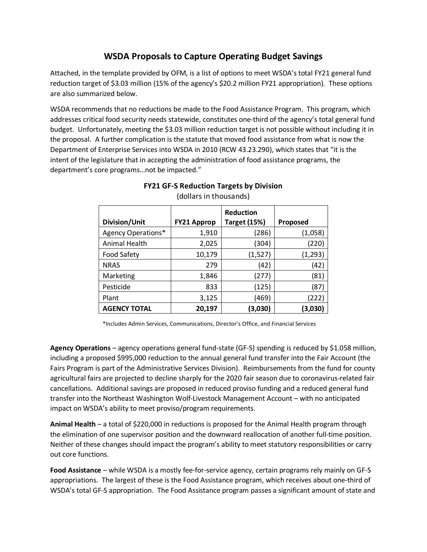## **WSDA Proposals to Capture Operating Budget Savings**

Attached, in the template provided by OFM, is a list of options to meet WSDA's total FY21 general fund reduction target of \$3.03 million (15% of the agency's \$20.2 million FY21 appropriation). These options are also summarized below.

WSDA recommends that no reductions be made to the Food Assistance Program. This program, which addresses critical food security needs statewide, constitutes one-third of the agency's total general fund budget. Unfortunately, meeting the \$3.03 million reduction target is not possible without including it in the proposal. A further complication is the statute that moved food assistance from what is now the Department of Enterprise Services into WSDA in 2010 (RCW 43.23.290), which states that "it is the intent of the legislature that in accepting the administration of food assistance programs, the department's core programs…not be impacted."

| Division/Unit       | <b>FY21 Approp</b> | <b>Reduction</b><br><b>Target (15%)</b> | Proposed |
|---------------------|--------------------|-----------------------------------------|----------|
| Agency Operations*  | 1,910              | (286)                                   | (1,058)  |
| Animal Health       | 2,025              | (304)                                   | (220)    |
| <b>Food Safety</b>  | 10,179             | (1, 527)                                | (1, 293) |
| <b>NRAS</b>         | 279                | (42)                                    | (42)     |
| Marketing           | 1,846              | (277)                                   | (81)     |
| Pesticide           | 833                | (125)                                   | (87)     |
| Plant               | 3,125              | (469)                                   | (222)    |
| <b>AGENCY TOTAL</b> | 20,197             | (3,030)                                 | (3,030)  |

**FY21 GF-S Reduction Targets by Division** (dollars in thousands)

\*Includes Admin Services, Communications, Director's Office, and Financial Services

**Agency Operations** – agency operations general fund-state (GF-S) spending is reduced by \$1.058 million, including a proposed \$995,000 reduction to the annual general fund transfer into the Fair Account (the Fairs Program is part of the Administrative Services Division). Reimbursements from the fund for county agricultural fairs are projected to decline sharply for the 2020 fair season due to coronavirus-related fair cancellations. Additional savings are proposed in reduced proviso funding and a reduced general fund transfer into the Northeast Washington Wolf-Livestock Management Account – with no anticipated impact on WSDA's ability to meet proviso/program requirements.

**Animal Health** – a total of \$220,000 in reductions is proposed for the Animal Health program through the elimination of one supervisor position and the downward reallocation of another full-time position. Neither of these changes should impact the program's ability to meet statutory responsibilities or carry out core functions.

**Food Assistance** – while WSDA is a mostly fee-for-service agency, certain programs rely mainly on GF-S appropriations. The largest of these is the Food Assistance program, which receives about one-third of WSDA's total GF-S appropriation. The Food Assistance program passes a significant amount of state and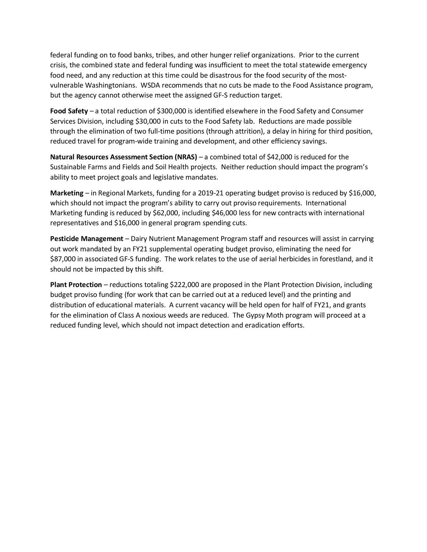federal funding on to food banks, tribes, and other hunger relief organizations. Prior to the current crisis, the combined state and federal funding was insufficient to meet the total statewide emergency food need, and any reduction at this time could be disastrous for the food security of the mostvulnerable Washingtonians. WSDA recommends that no cuts be made to the Food Assistance program, but the agency cannot otherwise meet the assigned GF-S reduction target.

**Food Safety** – a total reduction of \$300,000 is identified elsewhere in the Food Safety and Consumer Services Division, including \$30,000 in cuts to the Food Safety lab. Reductions are made possible through the elimination of two full-time positions (through attrition), a delay in hiring for third position, reduced travel for program-wide training and development, and other efficiency savings.

**Natural Resources Assessment Section (NRAS)** – a combined total of \$42,000 is reduced for the Sustainable Farms and Fields and Soil Health projects. Neither reduction should impact the program's ability to meet project goals and legislative mandates.

**Marketing** – in Regional Markets, funding for a 2019-21 operating budget proviso is reduced by \$16,000, which should not impact the program's ability to carry out proviso requirements. International Marketing funding is reduced by \$62,000, including \$46,000 less for new contracts with international representatives and \$16,000 in general program spending cuts.

**Pesticide Management** – Dairy Nutrient Management Program staff and resources will assist in carrying out work mandated by an FY21 supplemental operating budget proviso, eliminating the need for \$87,000 in associated GF-S funding. The work relates to the use of aerial herbicides in forestland, and it should not be impacted by this shift.

**Plant Protection** – reductions totaling \$222,000 are proposed in the Plant Protection Division, including budget proviso funding (for work that can be carried out at a reduced level) and the printing and distribution of educational materials. A current vacancy will be held open for half of FY21, and grants for the elimination of Class A noxious weeds are reduced. The Gypsy Moth program will proceed at a reduced funding level, which should not impact detection and eradication efforts.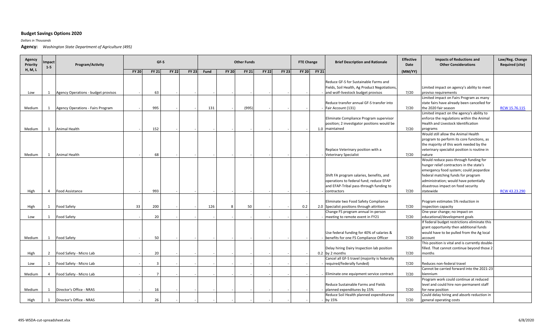## **Budget Savings Options 2020**

*Dollars in Thousands*

**Agency:** *Washington State Department of Agriculture (495)*

| Agency<br>Priority | Impact<br>$1 - 5$ | Program/Activity                         |              |                | GF-S         |              | <b>Other Funds</b> |              |              |              |              | <b>FTE Change</b> |              | <b>Brief Description and Rationale</b>                                                                                                        | <b>Effective</b><br>Date | <b>Impacts of Reductions and</b><br><b>Other Considerations</b>                                                                                                                                                                                                 | Law/Reg. Change<br><b>Required (cite)</b> |
|--------------------|-------------------|------------------------------------------|--------------|----------------|--------------|--------------|--------------------|--------------|--------------|--------------|--------------|-------------------|--------------|-----------------------------------------------------------------------------------------------------------------------------------------------|--------------------------|-----------------------------------------------------------------------------------------------------------------------------------------------------------------------------------------------------------------------------------------------------------------|-------------------------------------------|
| H, M, L            |                   |                                          | <b>FY 20</b> | <b>FY 21</b>   | <b>FY 22</b> | <b>FY 23</b> | Fund               | <b>FY 20</b> | <b>FY 21</b> | <b>FY 22</b> | <b>FY 23</b> | <b>FY 20</b>      | <b>FY 21</b> |                                                                                                                                               | (MM/YY)                  |                                                                                                                                                                                                                                                                 |                                           |
| Low                | 1                 | Agency Operations - budget provisos      |              | 63             |              |              |                    |              |              |              |              |                   |              | Reduce GF-S for Sustainable Farms and<br>Fields, Soil Health, Ag Product Negotiations,<br>and wolf-livestock budget provisos                  | 7/20                     | Limited impact on agency's ability to meet<br>proviso requirements                                                                                                                                                                                              |                                           |
|                    |                   |                                          |              |                |              |              |                    |              |              |              |              |                   |              |                                                                                                                                               |                          | Limited impact on Fairs Program as many                                                                                                                                                                                                                         |                                           |
|                    |                   |                                          |              |                |              |              |                    |              |              |              |              |                   |              | Reduce transfer annual GF-S transfer into                                                                                                     |                          | state fairs have already been cancelled for                                                                                                                                                                                                                     |                                           |
| Medium             | 1                 | <b>Agency Operations - Fairs Program</b> |              | 995            |              |              | 131                |              | (995)        |              |              |                   |              | Fair Account (131)                                                                                                                            | 7/20                     | the 2020 fair season                                                                                                                                                                                                                                            | RCW 15.76.115                             |
| Medium             | 1                 | Animal Health                            |              | 152            |              |              |                    |              |              |              |              |                   |              | Eliminate Compliance Program supervisor<br>position; 2 investigator positions would be<br>1.0 maintained                                      | 7/20                     | Limited impact on the agency's ability to<br>enforce the regulations within the Animal<br>Health and Livestock Identification<br>programs                                                                                                                       |                                           |
|                    |                   |                                          |              |                |              |              |                    |              |              |              |              |                   |              |                                                                                                                                               |                          | Would still allow the Animal Health                                                                                                                                                                                                                             |                                           |
|                    |                   |                                          |              |                |              |              |                    |              |              |              |              |                   |              | Replace Veterinary position with a                                                                                                            |                          | program to perform its core functions, as<br>the majority of this work needed by the<br>veterinary specialist position is routine in                                                                                                                            |                                           |
| Medium             | 1                 | Animal Health                            |              | 68             |              |              |                    |              |              |              |              |                   |              | <b>Veterinary Specialist</b>                                                                                                                  | 7/20                     | nature                                                                                                                                                                                                                                                          |                                           |
| High               | $\overline{4}$    | <b>Food Assistance</b>                   |              | 993            |              |              |                    |              |              |              |              |                   |              | Shift FA program salaries, benefits, and<br>operations to federal fund; reduce EFAP<br>and EFAP-Tribal pass-through funding to<br>contractors | 7/20                     | Would reduce pass-through funding for<br>hunger relief contractors in the state's<br>emergency food system; could jeopardize<br>federal matching funds for program<br>administration; would have potentially<br>disastrous impact on food security<br>statewide | RCW 43.23.290                             |
|                    |                   |                                          |              |                |              |              |                    |              |              |              |              |                   |              |                                                                                                                                               |                          |                                                                                                                                                                                                                                                                 |                                           |
| High               | 1                 | <b>Food Safety</b>                       | 33           | 200            |              |              | 126                | $\mathbf{R}$ | 50           |              |              | 0.2               |              | Eliminate two Food Safety Compliance<br>2.0 Specialist positions through attrition<br>Change FS program annual in-person                      | 7/20                     | Program estimates 5% reduction in<br>inspection capacity<br>One-year change; no impact on                                                                                                                                                                       |                                           |
| Low                | 1                 | Food Safety                              |              | 20             |              |              |                    |              |              |              |              |                   |              | meeting to remote event in FY21                                                                                                               | 7/20                     | educational/development goals                                                                                                                                                                                                                                   |                                           |
| Medium             | 1                 | Food Safety                              |              | 50             |              |              |                    |              |              |              |              |                   |              | Use federal funding for 40% of salaries &<br>benefits for one FS Compliance Officer                                                           | 7/20                     | If federal budget restrictions eliminate this<br>grant opportunity then additional funds<br>would have to be pulled from the Ag local<br>account                                                                                                                |                                           |
| High               | $\overline{2}$    | Food Safety - Micro Lab                  |              | 20             |              |              |                    |              |              |              |              |                   |              | Delay hiring Dairy Inspection lab position<br>0.2 by 2 months                                                                                 | 7/20                     | This position is vital and is currently double<br>filled. That cannot continue beyond those 2<br>months                                                                                                                                                         |                                           |
|                    |                   |                                          |              |                |              |              |                    |              |              |              |              |                   |              | Cancel all GF-S travel (majority is federally                                                                                                 |                          |                                                                                                                                                                                                                                                                 |                                           |
| Low                | 1                 | Food Safety - Micro Lab                  |              | $\overline{3}$ |              |              |                    |              |              |              |              |                   |              | required/federally funded)                                                                                                                    | 7/20                     | Reduces non-federal travel                                                                                                                                                                                                                                      |                                           |
|                    |                   |                                          |              | $\overline{7}$ |              |              |                    |              |              |              |              |                   |              |                                                                                                                                               |                          | Cannot be carried forward into the 2021-23                                                                                                                                                                                                                      |                                           |
| Medium             | 4                 | Food Safety - Micro Lab                  |              |                |              |              |                    |              |              |              |              |                   |              | Eliminate one equipment service contract                                                                                                      | 7/20                     | biennium<br>Program work could continue at reduced                                                                                                                                                                                                              |                                           |
| Medium             | 1                 | Director's Office - NRAS                 |              | 16             |              |              |                    |              |              |              |              |                   |              | <b>Reduce Sustainable Farms and Fields</b><br>planned expenditures by 15%                                                                     | 7/20                     | level and could hire non-permanent staff<br>for new position                                                                                                                                                                                                    |                                           |
|                    |                   |                                          |              |                |              |              |                    |              |              |              |              |                   |              | Reduce Soil Health planned expenditurese                                                                                                      |                          | Could delay hiring and absorb reduction in                                                                                                                                                                                                                      |                                           |
| High               | 1                 | Director's Office - NRAS                 |              | 26             |              |              |                    |              |              |              |              |                   |              | by 15%                                                                                                                                        | 7/20                     | general operating costs                                                                                                                                                                                                                                         |                                           |